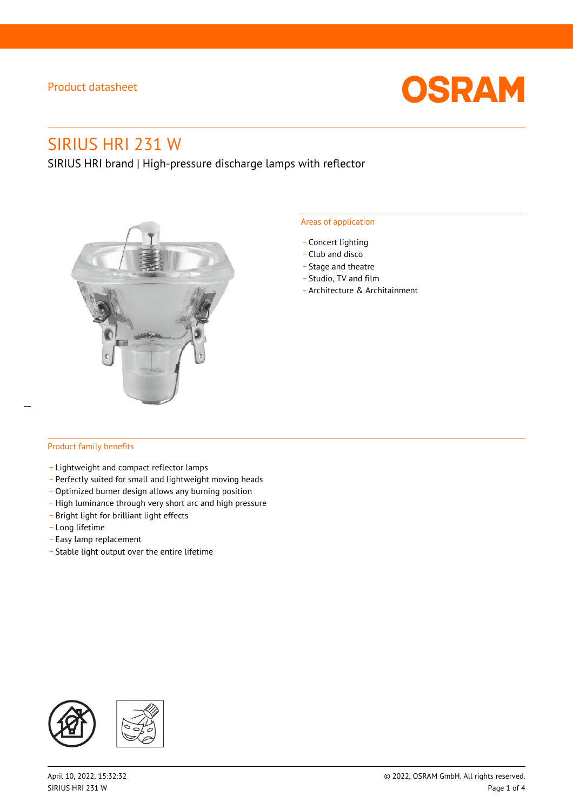

# SIRIUS HRI 231 W

SIRIUS HRI brand | High-pressure discharge lamps with reflector



### Areas of application

- Concert lighting
- \_ Club and disco
- Stage and theatre
- \_ Studio, TV and film
- \_ Architecture & Architainment

### Product family benefits

- \_ Lightweight and compact reflector lamps
- \_ Perfectly suited for small and lightweight moving heads
- Optimized burner design allows any burning position
- High luminance through very short arc and high pressure
- \_ Bright light for brilliant light effects
- \_ Long lifetime
- \_ Easy lamp replacement
- \_ Stable light output over the entire lifetime

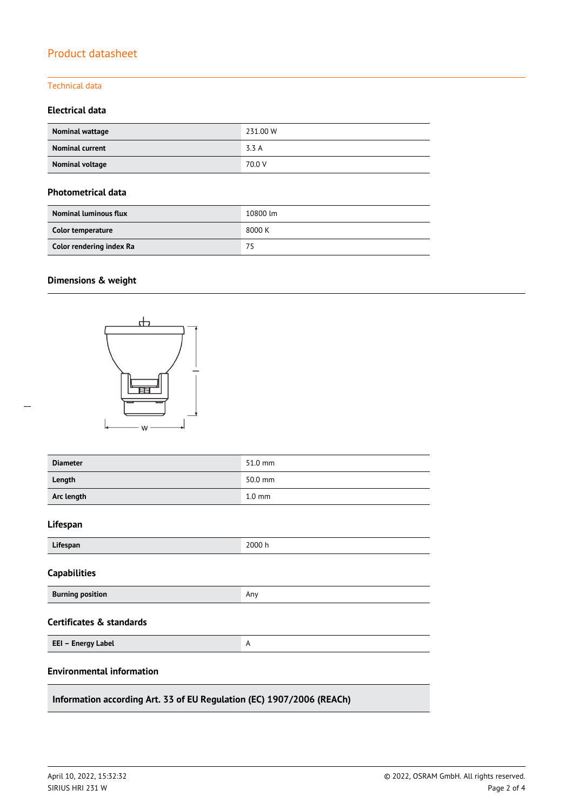### Technical data

### **Electrical data**

| Nominal wattage        | 231.00 W |
|------------------------|----------|
| <b>Nominal current</b> | 3.3 A    |
| Nominal voltage        | 70.0 V   |

### **Photometrical data**

| <b>Nominal luminous flux</b> | 10800 lm |
|------------------------------|----------|
| Color temperature            | 8000 K   |
| Color rendering index Ra     | 75       |

# **Dimensions & weight**



| <b>Diameter</b>                                                       | 51.0 mm          |  |  |  |
|-----------------------------------------------------------------------|------------------|--|--|--|
| Length                                                                | 50.0 mm          |  |  |  |
| Arc length                                                            | $1.0 \text{ mm}$ |  |  |  |
| Lifespan                                                              |                  |  |  |  |
| Lifespan                                                              | 2000 h           |  |  |  |
| <b>Capabilities</b>                                                   |                  |  |  |  |
| <b>Burning position</b>                                               | Any              |  |  |  |
| Certificates & standards                                              |                  |  |  |  |
| EEI - Energy Label                                                    | A                |  |  |  |
| <b>Environmental information</b>                                      |                  |  |  |  |
| Information according Art. 33 of EU Regulation (EC) 1907/2006 (REACh) |                  |  |  |  |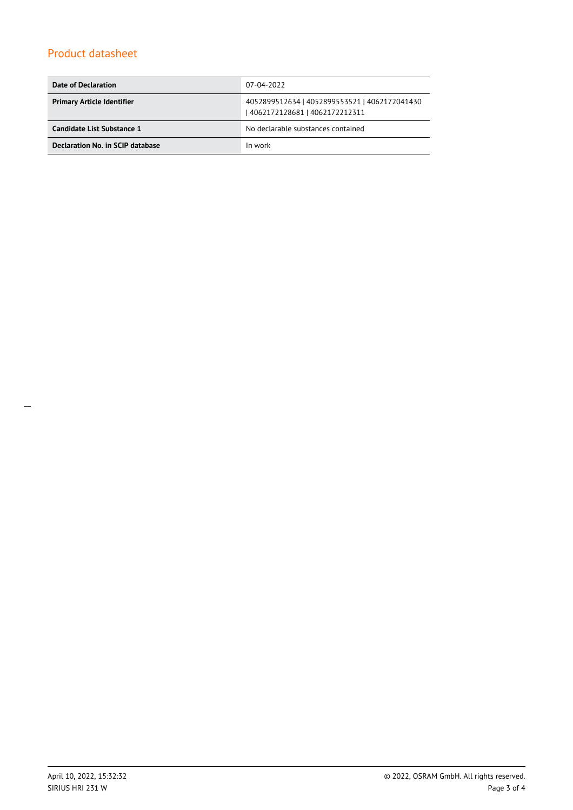| Date of Declaration               | 07-04-2022                                                                       |  |
|-----------------------------------|----------------------------------------------------------------------------------|--|
| <b>Primary Article Identifier</b> | 4052899512634   4052899553521   4062172041430<br>  4062172128681   4062172212311 |  |
| Candidate List Substance 1        | No declarable substances contained                                               |  |
| Declaration No. in SCIP database  | In work                                                                          |  |